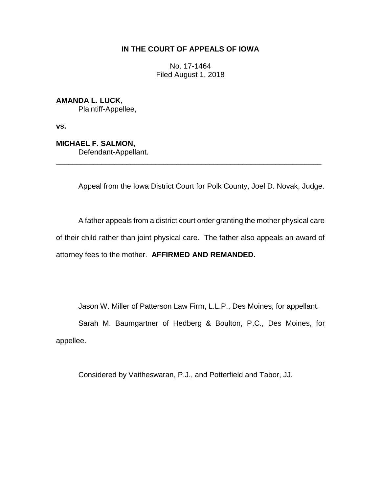# **IN THE COURT OF APPEALS OF IOWA**

No. 17-1464 Filed August 1, 2018

**AMANDA L. LUCK,** Plaintiff-Appellee,

**vs.**

**MICHAEL F. SALMON,**

Defendant-Appellant.

Appeal from the Iowa District Court for Polk County, Joel D. Novak, Judge.

A father appeals from a district court order granting the mother physical care of their child rather than joint physical care. The father also appeals an award of attorney fees to the mother. **AFFIRMED AND REMANDED.** 

\_\_\_\_\_\_\_\_\_\_\_\_\_\_\_\_\_\_\_\_\_\_\_\_\_\_\_\_\_\_\_\_\_\_\_\_\_\_\_\_\_\_\_\_\_\_\_\_\_\_\_\_\_\_\_\_\_\_\_\_\_\_\_\_

Jason W. Miller of Patterson Law Firm, L.L.P., Des Moines, for appellant.

Sarah M. Baumgartner of Hedberg & Boulton, P.C., Des Moines, for appellee.

Considered by Vaitheswaran, P.J., and Potterfield and Tabor, JJ.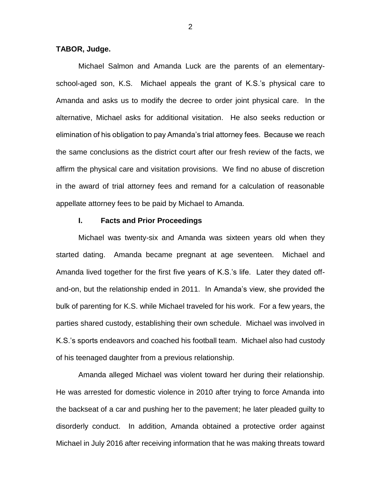## **TABOR, Judge.**

Michael Salmon and Amanda Luck are the parents of an elementaryschool-aged son, K.S. Michael appeals the grant of K.S.'s physical care to Amanda and asks us to modify the decree to order joint physical care. In the alternative, Michael asks for additional visitation. He also seeks reduction or elimination of his obligation to pay Amanda's trial attorney fees. Because we reach the same conclusions as the district court after our fresh review of the facts, we affirm the physical care and visitation provisions. We find no abuse of discretion in the award of trial attorney fees and remand for a calculation of reasonable appellate attorney fees to be paid by Michael to Amanda.

#### **I. Facts and Prior Proceedings**

Michael was twenty-six and Amanda was sixteen years old when they started dating. Amanda became pregnant at age seventeen. Michael and Amanda lived together for the first five years of K.S.'s life. Later they dated offand-on, but the relationship ended in 2011. In Amanda's view, she provided the bulk of parenting for K.S. while Michael traveled for his work. For a few years, the parties shared custody, establishing their own schedule. Michael was involved in K.S.'s sports endeavors and coached his football team. Michael also had custody of his teenaged daughter from a previous relationship.

Amanda alleged Michael was violent toward her during their relationship. He was arrested for domestic violence in 2010 after trying to force Amanda into the backseat of a car and pushing her to the pavement; he later pleaded guilty to disorderly conduct. In addition, Amanda obtained a protective order against Michael in July 2016 after receiving information that he was making threats toward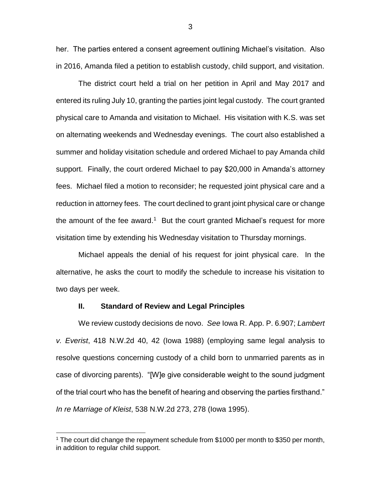her. The parties entered a consent agreement outlining Michael's visitation. Also in 2016, Amanda filed a petition to establish custody, child support, and visitation.

The district court held a trial on her petition in April and May 2017 and entered its ruling July 10, granting the parties joint legal custody. The court granted physical care to Amanda and visitation to Michael. His visitation with K.S. was set on alternating weekends and Wednesday evenings. The court also established a summer and holiday visitation schedule and ordered Michael to pay Amanda child support. Finally, the court ordered Michael to pay \$20,000 in Amanda's attorney fees. Michael filed a motion to reconsider; he requested joint physical care and a reduction in attorney fees. The court declined to grant joint physical care or change the amount of the fee award.<sup>1</sup> But the court granted Michael's request for more visitation time by extending his Wednesday visitation to Thursday mornings.

Michael appeals the denial of his request for joint physical care. In the alternative, he asks the court to modify the schedule to increase his visitation to two days per week.

#### **II. Standard of Review and Legal Principles**

 $\overline{a}$ 

We review custody decisions de novo. *See* Iowa R. App. P. 6.907; *Lambert v. Everist*, 418 N.W.2d 40, 42 (Iowa 1988) (employing same legal analysis to resolve questions concerning custody of a child born to unmarried parents as in case of divorcing parents). "[W]e give considerable weight to the sound judgment of the trial court who has the benefit of hearing and observing the parties firsthand." *In re Marriage of Kleist*, 538 N.W.2d 273, 278 (Iowa 1995).

<sup>&</sup>lt;sup>1</sup> The court did change the repayment schedule from \$1000 per month to \$350 per month, in addition to regular child support.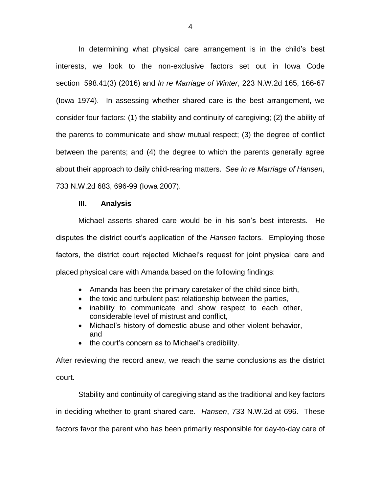In determining what physical care arrangement is in the child's best interests, we look to the non-exclusive factors set out in Iowa Code section 598.41(3) (2016) and *In re Marriage of Winter*, 223 N.W.2d 165, 166-67 (Iowa 1974). In assessing whether shared care is the best arrangement, we consider four factors: (1) the stability and continuity of caregiving; (2) the ability of the parents to communicate and show mutual respect; (3) the degree of conflict between the parents; and (4) the degree to which the parents generally agree about their approach to daily child-rearing matters. *See In re Marriage of Hansen*, 733 N.W.2d 683, 696-99 (Iowa 2007).

## **III. Analysis**

Michael asserts shared care would be in his son's best interests. He disputes the district court's application of the *Hansen* factors. Employing those factors, the district court rejected Michael's request for joint physical care and placed physical care with Amanda based on the following findings:

- Amanda has been the primary caretaker of the child since birth,
- the toxic and turbulent past relationship between the parties,
- inability to communicate and show respect to each other, considerable level of mistrust and conflict,
- Michael's history of domestic abuse and other violent behavior, and
- the court's concern as to Michael's credibility.

After reviewing the record anew, we reach the same conclusions as the district court.

Stability and continuity of caregiving stand as the traditional and key factors in deciding whether to grant shared care. *Hansen*, 733 N.W.2d at 696. These factors favor the parent who has been primarily responsible for day-to-day care of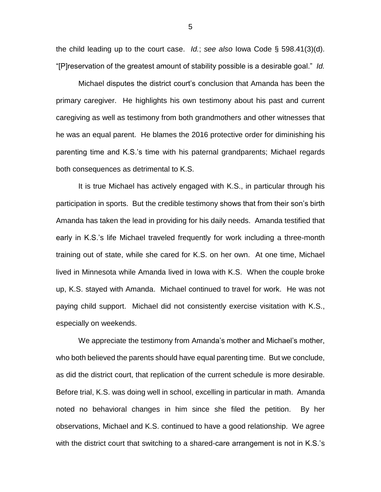the child leading up to the court case. *Id.*; *see also* Iowa Code § 598.41(3)(d). "[P]reservation of the greatest amount of stability possible is a desirable goal." *Id.*

Michael disputes the district court's conclusion that Amanda has been the primary caregiver. He highlights his own testimony about his past and current caregiving as well as testimony from both grandmothers and other witnesses that he was an equal parent. He blames the 2016 protective order for diminishing his parenting time and K.S.'s time with his paternal grandparents; Michael regards both consequences as detrimental to K.S.

It is true Michael has actively engaged with K.S., in particular through his participation in sports. But the credible testimony shows that from their son's birth Amanda has taken the lead in providing for his daily needs. Amanda testified that early in K.S.'s life Michael traveled frequently for work including a three-month training out of state, while she cared for K.S. on her own. At one time, Michael lived in Minnesota while Amanda lived in Iowa with K.S. When the couple broke up, K.S. stayed with Amanda. Michael continued to travel for work. He was not paying child support. Michael did not consistently exercise visitation with K.S., especially on weekends.

We appreciate the testimony from Amanda's mother and Michael's mother, who both believed the parents should have equal parenting time. But we conclude, as did the district court, that replication of the current schedule is more desirable. Before trial, K.S. was doing well in school, excelling in particular in math. Amanda noted no behavioral changes in him since she filed the petition. By her observations, Michael and K.S. continued to have a good relationship. We agree with the district court that switching to a shared-care arrangement is not in K.S.'s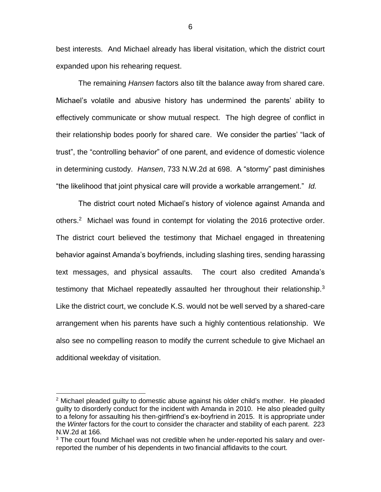best interests. And Michael already has liberal visitation, which the district court expanded upon his rehearing request.

The remaining *Hansen* factors also tilt the balance away from shared care. Michael's volatile and abusive history has undermined the parents' ability to effectively communicate or show mutual respect. The high degree of conflict in their relationship bodes poorly for shared care. We consider the parties' "lack of trust", the "controlling behavior" of one parent, and evidence of domestic violence in determining custody. *Hansen*, 733 N.W.2d at 698. A "stormy" past diminishes "the likelihood that joint physical care will provide a workable arrangement." *Id.*

The district court noted Michael's history of violence against Amanda and others.<sup>2</sup> Michael was found in contempt for violating the 2016 protective order. The district court believed the testimony that Michael engaged in threatening behavior against Amanda's boyfriends, including slashing tires, sending harassing text messages, and physical assaults. The court also credited Amanda's testimony that Michael repeatedly assaulted her throughout their relationship. $3$ Like the district court, we conclude K.S. would not be well served by a shared-care arrangement when his parents have such a highly contentious relationship. We also see no compelling reason to modify the current schedule to give Michael an additional weekday of visitation.

 $\overline{a}$ 

 $2$  Michael pleaded guilty to domestic abuse against his older child's mother. He pleaded guilty to disorderly conduct for the incident with Amanda in 2010. He also pleaded guilty to a felony for assaulting his then-girlfriend's ex-boyfriend in 2015. It is appropriate under the *Winter* factors for the court to consider the character and stability of each parent. 223 N.W.2d at 166.

<sup>&</sup>lt;sup>3</sup> The court found Michael was not credible when he under-reported his salary and overreported the number of his dependents in two financial affidavits to the court.